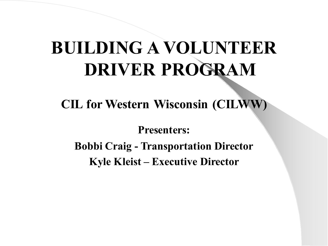#### **BUILDING A VOLUNTEER DRIVER PROGRAM**

**CIL for Western Wisconsin (CILWW)**

**Presenters: Bobbi Craig - Transportation Director Kyle Kleist – Executive Director**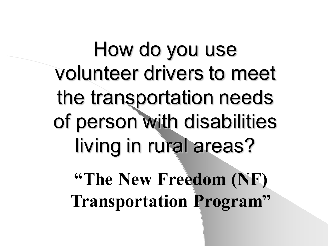How do you use volunteer drivers to meet the transportation needs of person with disabilities living in rural areas?

**"The New Freedom (NF) Transportation Program"**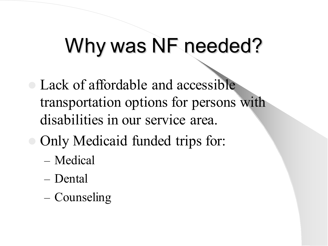### Why was NF needed?

- Lack of affordable and accessible transportation options for persons with disabilities in our service area.
- Only Medicaid funded trips for:
	- Medical
	- Dental
	- Counseling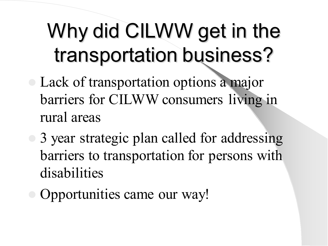# Why did CILWW get in the transportation business?

- Lack of transportation options a major barriers for CILWW consumers living in rural areas
- 3 year strategic plan called for addressing barriers to transportation for persons with disabilities
- Opportunities came our way!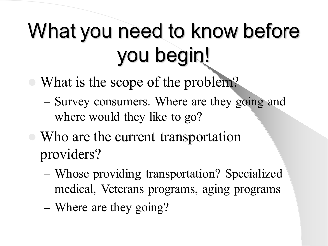# What you need to know before you begin!

- What is the scope of the problem?
	- Survey consumers. Where are they going and where would they like to go?
- Who are the current transportation providers?
	- Whose providing transportation? Specialized medical, Veterans programs, aging programs
	- Where are they going?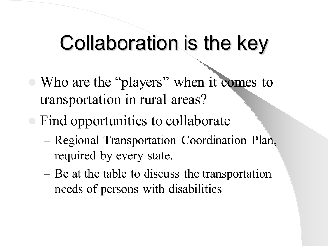### Collaboration is the key

- Who are the "players" when it comes to transportation in rural areas?
- Find opportunities to collaborate
	- Regional Transportation Coordination Plan, required by every state.
	- Be at the table to discuss the transportation needs of persons with disabilities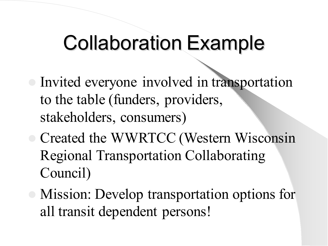### Collaboration Example

- Invited everyone involved in transportation to the table (funders, providers, stakeholders, consumers)
- Created the WWRTCC (Western Wisconsin Regional Transportation Collaborating Council)
- Mission: Develop transportation options for all transit dependent persons!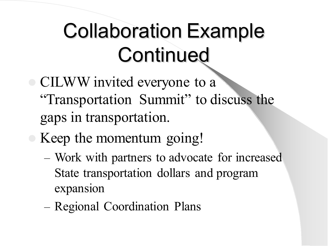## Collaboration Example **Continued**

- CILWW invited everyone to a "Transportation Summit" to discuss the gaps in transportation.
- Keep the momentum going!
	- Work with partners to advocate for increased State transportation dollars and program expansion
	- Regional Coordination Plans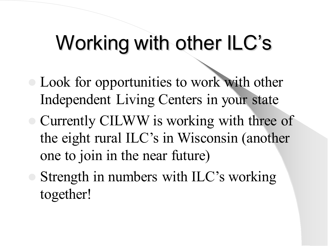### Working with other ILC's

- Look for opportunities to work with other Independent Living Centers in your state
- Currently CILWW is working with three of the eight rural ILC's in Wisconsin (another one to join in the near future)
- Strength in numbers with ILC's working together!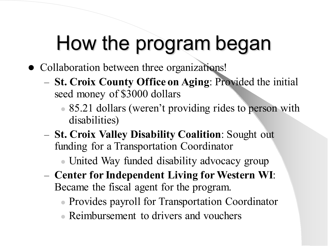## How the program began

- Collaboration between three organizations!
	- **St. Croix County Office on Aging**: Provided the initial seed money of \$3000 dollars
		- 85.21 dollars (weren't providing rides to person with disabilities)
	- **St. Croix Valley Disability Coalition**: Sought out funding for a Transportation Coordinator
		- United Way funded disability advocacy group
	- **Center for Independent Living for Western WI**: Became the fiscal agent for the program.
		- Provides payroll for Transportation Coordinator
		- Reimbursement to drivers and vouchers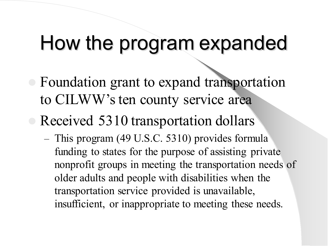#### How the program expanded

- Foundation grant to expand transportation to CILWW's ten county service area
- Received 5310 transportation dollars
	- This program (49 U.S.C. 5310) provides formula funding to states for the purpose of assisting private nonprofit groups in meeting the transportation needs of older adults and people with disabilities when the transportation service provided is unavailable, insufficient, or inappropriate to meeting these needs.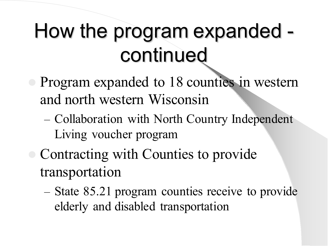## How the program expanded continued

- Program expanded to 18 counties in western and north western Wisconsin
	- Collaboration with North Country Independent Living voucher program
- Contracting with Counties to provide transportation
	- State 85.21 program counties receive to provide elderly and disabled transportation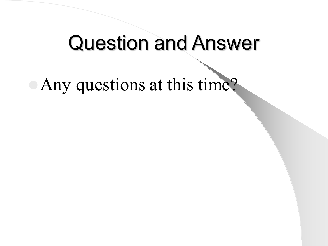#### Question and Answer

Any questions at this time?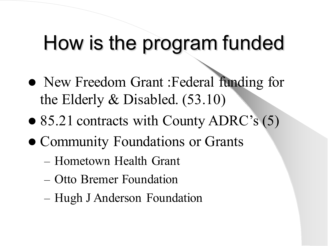### How is the program funded

- New Freedom Grant :Federal funding for the Elderly & Disabled. (53.10)
- 85.21 contracts with County ADRC's (5)
- Community Foundations or Grants
	- Hometown Health Grant
	- Otto Bremer Foundation
	- Hugh J Anderson Foundation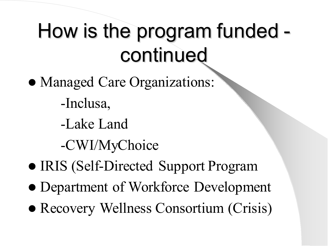## How is the program funded continued

- Managed Care Organizations:
	- -Inclusa,
	- -Lake Land
	- -CWI/MyChoice
- IRIS (Self-Directed Support Program
- Department of Workforce Development
- Recovery Wellness Consortium (Crisis)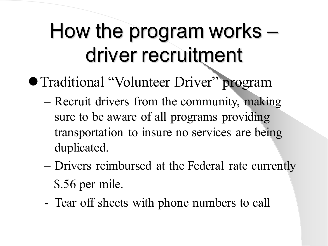## How the program works – driver recruitment

- Traditional "Volunteer Driver" program
	- Recruit drivers from the community, making sure to be aware of all programs providing transportation to insure no services are being duplicated.
	- Drivers reimbursed at the Federal rate currently \$.56 per mile.
	- Tear off sheets with phone numbers to call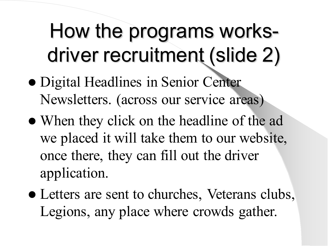## How the programs worksdriver recruitment (slide 2)

- Digital Headlines in Senior Center Newsletters. (across our service areas)
- When they click on the headline of the ad we placed it will take them to our website, once there, they can fill out the driver application.
- Letters are sent to churches, Veterans clubs, Legions, any place where crowds gather.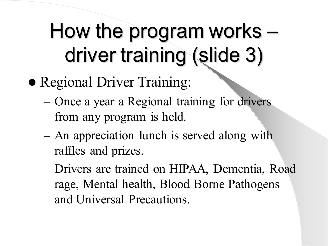## How the program works – driver training (slide 3)

- Regional Driver Training:
	- Once a year a Regional training for drivers from any program is held.
	- An appreciation lunch is served along with raffles and prizes.
	- Drivers are trained on HIPAA, Dementia, Road rage, Mental health, Blood Borne Pathogens and Universal Precautions.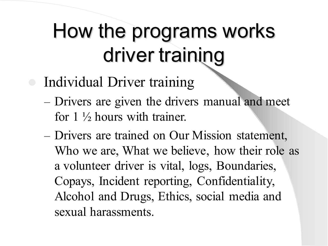## How the programs works driver training

- Individual Driver training
	- Drivers are given the drivers manual and meet for 1 ½ hours with trainer.
	- Drivers are trained on Our Mission statement, Who we are, What we believe, how their role as a volunteer driver is vital, logs, Boundaries, Copays, Incident reporting, Confidentiality, Alcohol and Drugs, Ethics, social media and sexual harassments.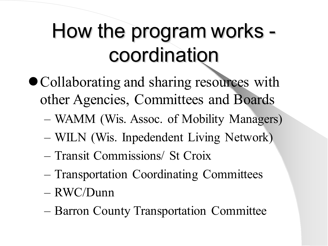## How the program works coordination

- Collaborating and sharing resources with other Agencies, Committees and Boards
	- WAMM (Wis. Assoc. of Mobility Managers)
	- WILN (Wis. Inpedendent Living Network)
	- Transit Commissions/ St Croix
	- Transportation Coordinating Committees
	- RWC/Dunn
	- Barron County Transportation Committee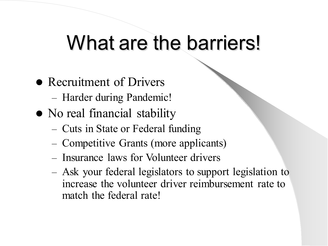#### What are the barriers!

- Recruitment of Drivers
	- Harder during Pandemic!
- No real financial stability
	- Cuts in State or Federal funding
	- Competitive Grants (more applicants)
	- Insurance laws for Volunteer drivers
	- Ask your federal legislators to support legislation to increase the volunteer driver reimbursement rate to match the federal rate!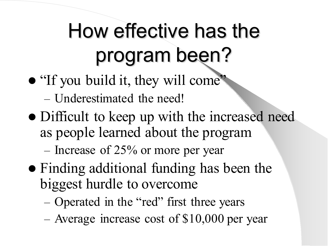# How effective has the program been?

"If you build it, they will come"

– Underestimated the need!

• Difficult to keep up with the increased need as people learned about the program

– Increase of 25% or more per year

- Finding additional funding has been the biggest hurdle to overcome
	- Operated in the "red" first three years
	- Average increase cost of \$10,000 per year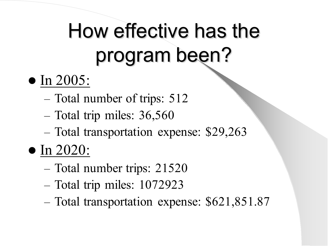# How effective has the program been?

- In 2005:
	- Total number of trips: 512
	- Total trip miles: 36,560
	- Total transportation expense: \$29,263
- In 2020:
	- Total number trips: 21520
	- Total trip miles: 1072923
	- Total transportation expense: \$621,851.87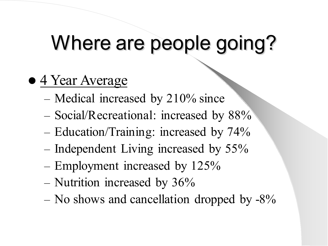## Where are people going?

- 4 Year Average
	- Medical increased by 210% since
	- Social/Recreational: increased by 88%
	- Education/Training: increased by 74%
	- Independent Living increased by 55%
	- Employment increased by 125%
	- Nutrition increased by 36%
	- No shows and cancellation dropped by  $-8\%$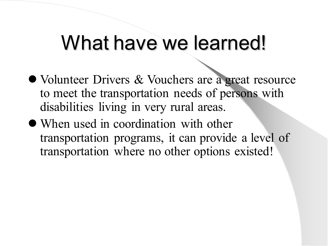#### What have we learned!

- Volunteer Drivers & Vouchers are a great resource to meet the transportation needs of persons with disabilities living in very rural areas.
- When used in coordination with other transportation programs, it can provide a level of transportation where no other options existed!